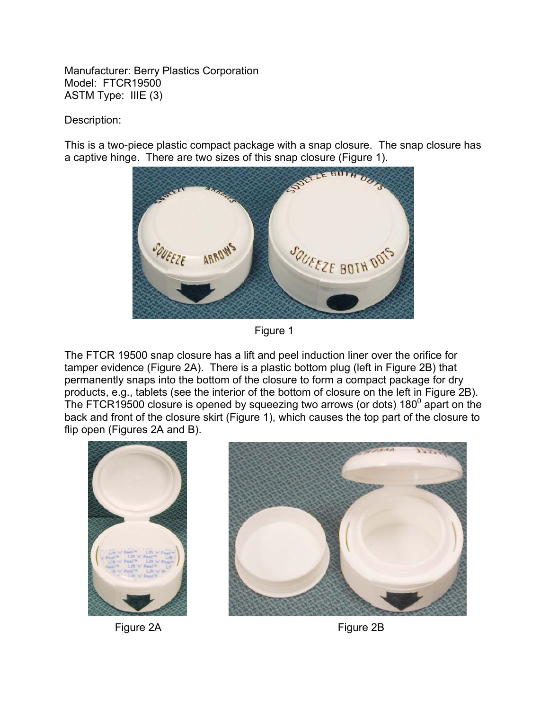Manufacturer: Berry Plastics Corporation Model: FTCR19500 ASTM Type: IIIE (3)

Description:

This is a two-piece plastic compact package with a snap closure. The snap closure has a captive hinge. There are two sizes of this snap closure (Figure 1).



Figure 1

The FTCR 19500 snap closure has a lift and peel induction liner over the orifice for tamper evidence (Figure 2A). There is a plastic bottom plug (left in Figure 2B) that permanently snaps into the bottom of the closure to form a compact package for dry products, e.g., tablets (see the interior of the bottom of closure on the left in Figure 2B). The FTCR19500 closure is opened by squeezing two arrows (or dots) 180 $^0$  apart on the back and front of the closure skirt (Figure 1), which causes the top part of the closure to flip open (Figures 2A and B).



Figure 2A **Figure 2B** 

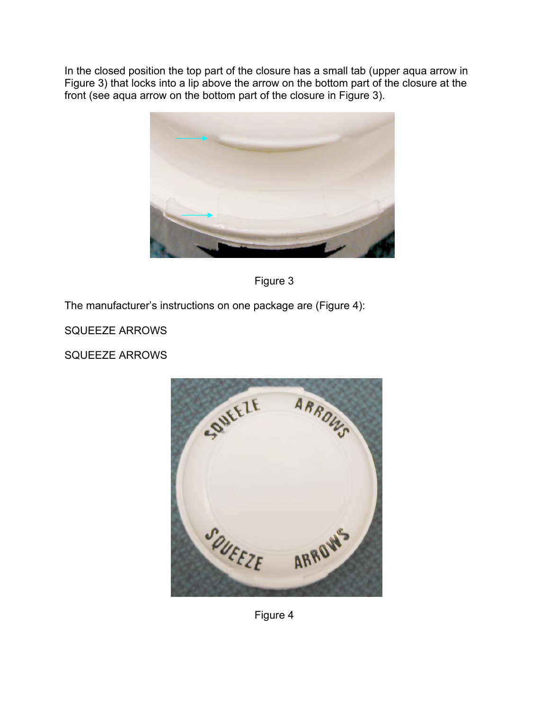In the closed position the top part of the closure has a small tab (upper aqua arrow in Figure 3) that locks into a lip above the arrow on the bottom part of the closure at the front (see aqua arrow on the bottom part of the closure in Figure 3).





The manufacturer's instructions on one package are (Figure 4):

SQUEEZE ARROWS

SQUEEZE ARROWS